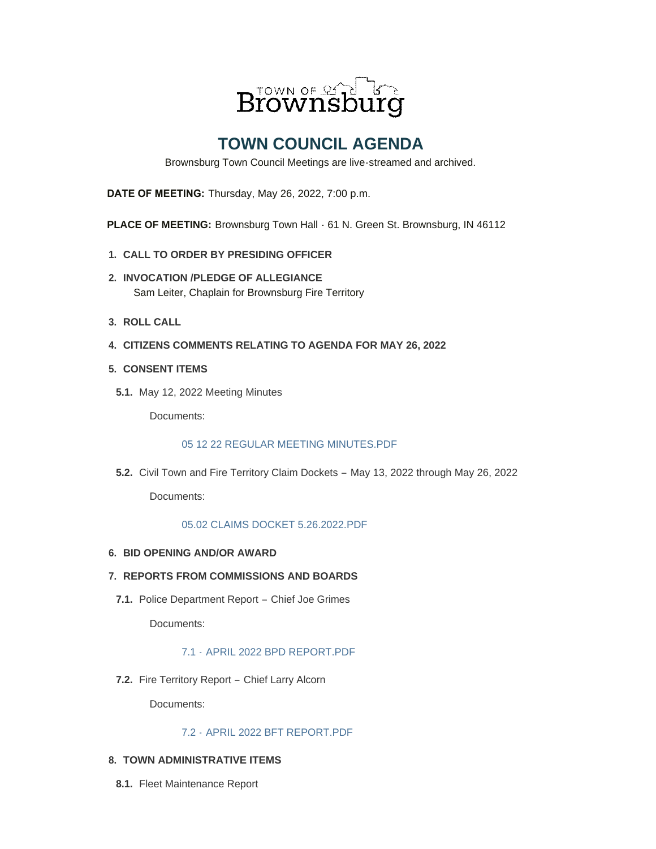

# **TOWN COUNCIL AGENDA**

Brownsburg Town Council Meetings are live-streamed and archived.

**DATE OF MEETING:** Thursday, May 26, 2022, 7:00 p.m.

**PLACE OF MEETING:** Brownsburg Town Hall  $\cdot$  61 N. Green St. Brownsburg, IN 46112

- **CALL TO ORDER BY PRESIDING OFFICER 1.**
- **INVOCATION /PLEDGE OF ALLEGIANCE 2.** Sam Leiter, Chaplain for Brownsburg Fire Territory
- **ROLL CALL 3.**
- **CITIZENS COMMENTS RELATING TO AGENDA FOR MAY 26, 2022 4.**
- **CONSENT ITEMS 5.**
- **5.1.** May 12, 2022 Meeting Minutes

Documents:

#### [05 12 22 REGULAR MEETING MINUTES.PDF](https://www.brownsburg.org/AgendaCenter/ViewFile/Item/476?fileID=4537)

**5.2.** Civil Town and Fire Territory Claim Dockets - May 13, 2022 through May 26, 2022

Documents:

#### [05.02 CLAIMS DOCKET 5.26.2022.PDF](https://www.brownsburg.org/AgendaCenter/ViewFile/Item/410?fileID=4543)

# **BID OPENING AND/OR AWARD 6.**

#### **REPORTS FROM COMMISSIONS AND BOARDS 7.**

7.1. Police Department Report - Chief Joe Grimes

Documents:

# 7.1 - [APRIL 2022 BPD REPORT.PDF](https://www.brownsburg.org/AgendaCenter/ViewFile/Item/411?fileID=4492)

Fire Territory Report – Chief Larry Alcorn **7.2.**

Documents:

# 7.2 - [APRIL 2022 BFT REPORT.PDF](https://www.brownsburg.org/AgendaCenter/ViewFile/Item/478?fileID=4539)

# **TOWN ADMINISTRATIVE ITEMS 8.**

8.1. Fleet Maintenance Report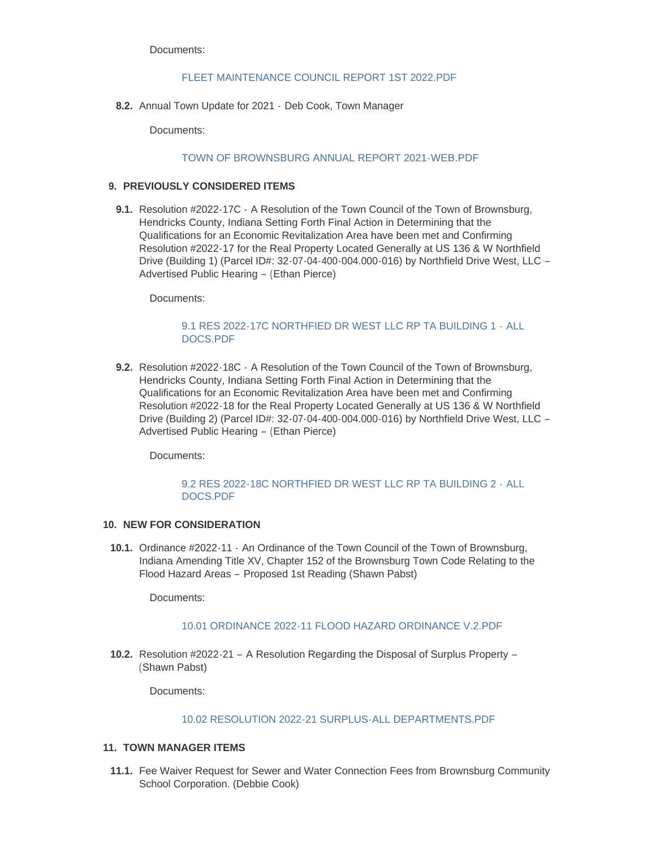Documents:

#### [FLEET MAINTENANCE COUNCIL REPORT 1ST 2022.PDF](https://www.brownsburg.org/AgendaCenter/ViewFile/Item/413?fileID=4532)

8.2. Annual Town Update for 2021 - Deb Cook, Town Manager

Documents:

#### [TOWN OF BROWNSBURG ANNUAL REPORT 2021-WEB.PDF](https://www.brownsburg.org/AgendaCenter/ViewFile/Item/316?fileID=4534)

# **PREVIOUSLY CONSIDERED ITEMS 9.**

**9.1.** Resolution #2022-17C - A Resolution of the Town Council of the Town of Brownsburg, Hendricks County, Indiana Setting Forth Final Action in Determining that the Qualifications for an Economic Revitalization Area have been met and Confirming Resolution #2022-17 for the Real Property Located Generally at US 136 & W Northfield Drive (Building 1) (Parcel ID#: 32-07-04-400-004.000-016) by Northfield Drive West, LLC – Advertised Public Hearing – (Ethan Pierce)

Documents:

# [9.1 RES 2022-17C NORTHFIED DR WEST LLC RP TA BUILDING 1 -](https://www.brownsburg.org/AgendaCenter/ViewFile/Item/473?fileID=4535) ALL DOCS.PDF

**9.2.** Resolution #2022-18C  $\cdot$  A Resolution of the Town Council of the Town of Brownsburg, Hendricks County, Indiana Setting Forth Final Action in Determining that the Qualifications for an Economic Revitalization Area have been met and Confirming Resolution #2022-18 for the Real Property Located Generally at US 136 & W Northfield Drive (Building 2) (Parcel ID#: 32-07-04-400-004.000-016) by Northfield Drive West, LLC – Advertised Public Hearing – (Ethan Pierce)

Documents:

#### [9.2 RES 2022-18C NORTHFIED DR WEST LLC RP TA BUILDING 2 -](https://www.brownsburg.org/AgendaCenter/ViewFile/Item/474?fileID=4536) ALL DOCS.PDF

## 10. NEW FOR CONSIDERATION

**10.1.** Ordinance #2022-11 - An Ordinance of the Town Council of the Town of Brownsburg, Indiana Amending Title XV, Chapter 152 of the Brownsburg Town Code Relating to the Flood Hazard Areas – Proposed 1st Reading (Shawn Pabst)

Documents:

#### [10.01 ORDINANCE 2022-11 FLOOD HAZARD ORDINANCE V.2.PDF](https://www.brownsburg.org/AgendaCenter/ViewFile/Item/480?fileID=4545)

10.2. Resolution #2022-21 – A Resolution Regarding the Disposal of Surplus Property – (Shawn Pabst)

Documents:

#### [10.02 RESOLUTION 2022-21 SURPLUS-ALL DEPARTMENTS.PDF](https://www.brownsburg.org/AgendaCenter/ViewFile/Item/481?fileID=4542)

#### **TOWN MANAGER ITEMS 11.**

11.1. Fee Waiver Request for Sewer and Water Connection Fees from Brownsburg Community School Corporation. (Debbie Cook)